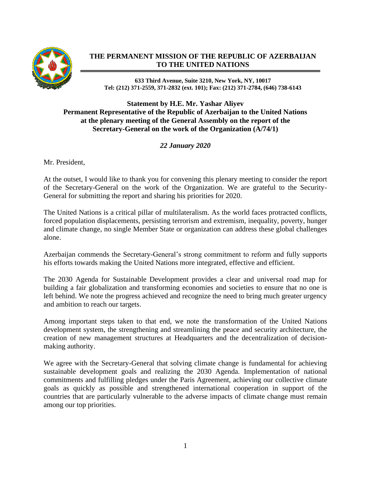

## **THE PERMANENT MISSION OF THE REPUBLIC OF AZERBAIJAN TO THE UNITED NATIONS**

## **633 Third Avenue, Suite 3210, New York, NY, 10017 Tel: (212) 371-2559, 371-2832 (ext. 101); Fax: (212) 371-2784, (646) 738-6143**

## **Statement by H.E. Mr. Yashar Aliyev Permanent Representative of the Republic of Azerbaijan to the United Nations at the plenary meeting of the General Assembly on the report of the Secretary-General on the work of the Organization (A/74/1)**

## *22 January 2020*

Mr. President,

At the outset, I would like to thank you for convening this plenary meeting to consider the report of the Secretary-General on the work of the Organization. We are grateful to the Security-General for submitting the report and sharing his priorities for 2020.

The United Nations is a critical pillar of multilateralism. As the world faces protracted conflicts, forced population displacements, persisting terrorism and extremism, inequality, poverty, hunger and climate change, no single Member State or organization can address these global challenges alone.

Azerbaijan commends the Secretary-General's strong commitment to reform and fully supports his efforts towards making the United Nations more integrated, effective and efficient.

The 2030 Agenda for Sustainable Development provides a clear and universal road map for building a fair globalization and transforming economies and societies to ensure that no one is left behind. We note the progress achieved and recognize the need to bring much greater urgency and ambition to reach our targets.

Among important steps taken to that end, we note the transformation of the United Nations development system, the strengthening and streamlining the peace and security architecture, the creation of new management structures at Headquarters and the decentralization of decisionmaking authority.

We agree with the Secretary-General that solving climate change is fundamental for achieving sustainable development goals and realizing the 2030 Agenda. Implementation of national commitments and fulfilling pledges under the Paris Agreement, achieving our collective climate goals as quickly as possible and strengthened international cooperation in support of the countries that are particularly vulnerable to the adverse impacts of climate change must remain among our top priorities.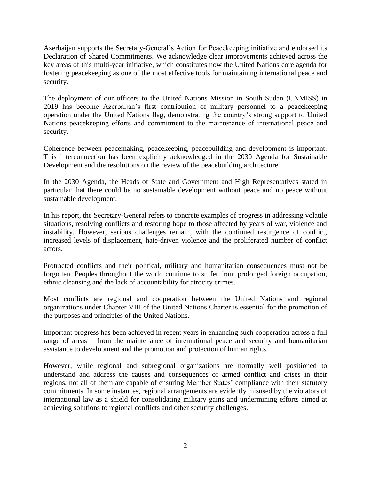Azerbaijan supports the Secretary-General's Action for Peacekeeping initiative and endorsed its Declaration of Shared Commitments. We acknowledge clear improvements achieved across the key areas of this multi-year initiative, which constitutes now the United Nations core agenda for fostering peacekeeping as one of the most effective tools for maintaining international peace and security.

The deployment of our officers to the United Nations Mission in South Sudan (UNMISS) in 2019 has become Azerbaijan's first contribution of military personnel to a peacekeeping operation under the United Nations flag, demonstrating the country's strong support to United Nations peacekeeping efforts and commitment to the maintenance of international peace and security.

Coherence between peacemaking, peacekeeping, peacebuilding and development is important. This interconnection has been explicitly acknowledged in the 2030 Agenda for Sustainable Development and the resolutions on the review of the peacebuilding architecture.

In the 2030 Agenda, the Heads of State and Government and High Representatives stated in particular that there could be no sustainable development without peace and no peace without sustainable development.

In his report, the Secretary-General refers to concrete examples of progress in addressing volatile situations, resolving conflicts and restoring hope to those affected by years of war, violence and instability. However, serious challenges remain, with the continued resurgence of conflict, increased levels of displacement, hate-driven violence and the proliferated number of conflict actors.

Protracted conflicts and their political, military and humanitarian consequences must not be forgotten. Peoples throughout the world continue to suffer from prolonged foreign occupation, ethnic cleansing and the lack of accountability for atrocity crimes.

Most conflicts are regional and cooperation between the United Nations and regional organizations under Chapter VIII of the United Nations Charter is essential for the promotion of the purposes and principles of the United Nations.

Important progress has been achieved in recent years in enhancing such cooperation across a full range of areas – from the maintenance of international peace and security and humanitarian assistance to development and the promotion and protection of human rights.

However, while regional and subregional organizations are normally well positioned to understand and address the causes and consequences of armed conflict and crises in their regions, not all of them are capable of ensuring Member States' compliance with their statutory commitments. In some instances, regional arrangements are evidently misused by the violators of international law as a shield for consolidating military gains and undermining efforts aimed at achieving solutions to regional conflicts and other security challenges.